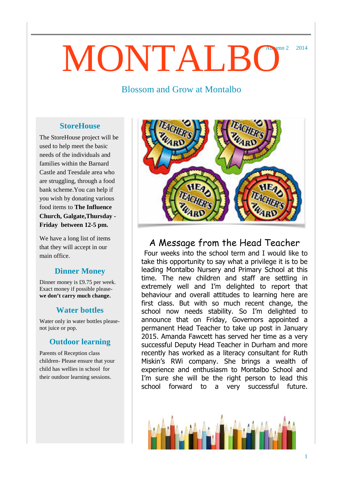# Autumn 2 2014 MONTALBO

### Blossom and Grow at Montalbo

#### **StoreHouse**

The StoreHouse project will be used to help meet the basic needs of the individuals and families within the Barnard Castle and Teesdale area who are struggling, through a food bank scheme.You can help if you wish by donating various food items to **The Influence Church, Galgate,Thursday - Friday between 12-5 pm.**

We have a long list of items that they will accept in our main office.

#### **Dinner Money**

Dinner money is £9.75 per week. Exact money if possible please**we don't carry much change.** 

#### **Water bottles**

Water only in water bottles pleasenot juice or pop.

#### **Outdoor learning**

Parents of Reception class children- Please ensure that your child has wellies in school for their outdoor learning sessions.



## A Message from the Head Teacher

Four weeks into the school term and I would like to take this opportunity to say what a privilege it is to be leading Montalbo Nursery and Primary School at this time. The new children and staff are settling in extremely well and I'm delighted to report that behaviour and overall attitudes to learning here are first class. But with so much recent change, the school now needs stability. So I'm delighted to announce that on Friday, Governors appointed a permanent Head Teacher to take up post in January 2015. Amanda Fawcett has served her time as a very successful Deputy Head Teacher in Durham and more recently has worked as a literacy consultant for Ruth Miskin's RWi company. She brings a wealth of experience and enthusiasm to Montalbo School and I'm sure she will be the right person to lead this school forward to a very successful future.